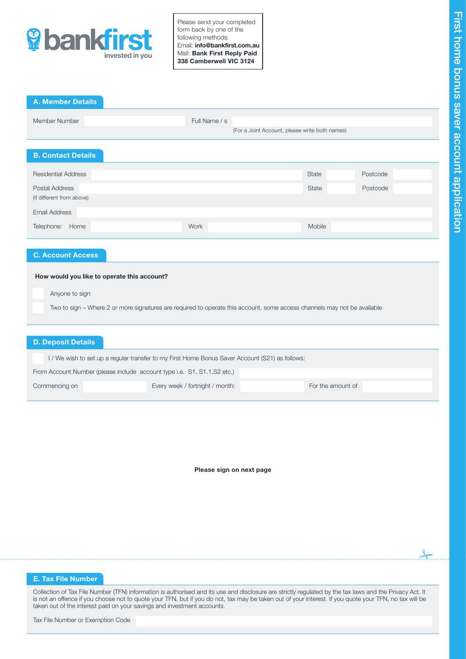

A. Member Details

Please send your completed form back by one of the following methods: Email: info@bankfirst.com.au Mail: Bank First Reply Paid 338 Camberwell VIC 3124

| Member Number                                                                                                            | Full Name / s                                  |        |          |  |  |  |  |
|--------------------------------------------------------------------------------------------------------------------------|------------------------------------------------|--------|----------|--|--|--|--|
|                                                                                                                          | (For a Joint Account, please write both names) |        |          |  |  |  |  |
|                                                                                                                          |                                                |        |          |  |  |  |  |
|                                                                                                                          |                                                |        |          |  |  |  |  |
| <b>B. Contact Details</b>                                                                                                |                                                |        |          |  |  |  |  |
| <b>Residential Address</b>                                                                                               |                                                |        | Postcode |  |  |  |  |
|                                                                                                                          |                                                | State  |          |  |  |  |  |
| Postal Address                                                                                                           |                                                | State  | Postcode |  |  |  |  |
| (if different from above)                                                                                                |                                                |        |          |  |  |  |  |
| <b>Email Address</b>                                                                                                     |                                                |        |          |  |  |  |  |
| Telephone: Home                                                                                                          | Work                                           | Mobile |          |  |  |  |  |
|                                                                                                                          |                                                |        |          |  |  |  |  |
| <b>C. Account Access</b>                                                                                                 |                                                |        |          |  |  |  |  |
| How would you like to operate this account?                                                                              |                                                |        |          |  |  |  |  |
|                                                                                                                          |                                                |        |          |  |  |  |  |
| Anyone to sign                                                                                                           |                                                |        |          |  |  |  |  |
| Two to sign - Where 2 or more signatures are required to operate this account, some access channels may not be available |                                                |        |          |  |  |  |  |
|                                                                                                                          |                                                |        |          |  |  |  |  |
|                                                                                                                          |                                                |        |          |  |  |  |  |
|                                                                                                                          |                                                |        |          |  |  |  |  |
| <b>D. Deposit Details</b>                                                                                                |                                                |        |          |  |  |  |  |
| I / We wish to set up a regular transfer to my First Home Bonus Saver Account (S21) as follows:                          |                                                |        |          |  |  |  |  |
| From Account Number (please include account type i.e. S1, S1.1, S2 etc.)                                                 |                                                |        |          |  |  |  |  |
|                                                                                                                          |                                                |        |          |  |  |  |  |

Please sign on next page

# E. Tax File Number

Collection of Tax File Number (TFN) information is authorised and its use and disclosure are strictly regulated by the tax laws and the Privacy Act. It is not an offence if you choose not to quote your TFN, but if you do not, tax may be taken out of your interest. If you quote your TFN, no tax will be taken out of the interest paid on your savings and investment accounts.

 $\frac{1}{2}$